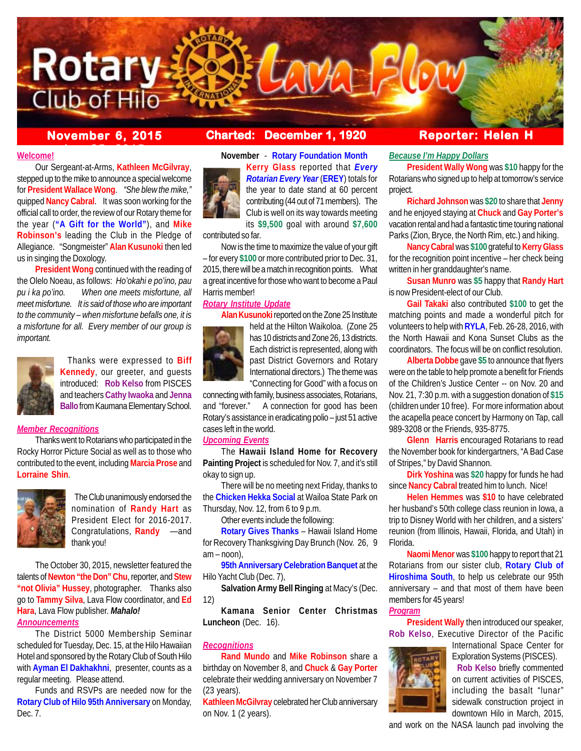

# **November 6, 2015 Charted: December 1, 1920 Reporter: Helen H**

### **Welcome!**

Our Sergeant-at-Arms, **Kathleen McGilvray**, stepped up to the mike to announce a special welcome for **President Wallace Wong**. *"She blew the mike,"* quipped **Nancy Cabral**. It was soon working for the official call to order, the review of our Rotary theme for the year (**"A Gift for the World"**), and **Mike Robinson's** leading the Club in the Pledge of Allegiance. "Songmeister" **Alan Kusunoki** then led us in singing the Doxology.

**President Wong** continued with the reading of the Olelo Noeau, as follows: *Ho'okahi e po'ino, pau pu i ka po'ino. When one meets misfortune, all meet misfortune. It is said of those who are important to the community – when misfortune befalls one, it is a misfortune for all. Every member of our group is important.*



 Thanks were expressed to **Biff Kennedy**, our greeter, and guests introduced: **Rob Kelso** from PISCES and teachers **Cathy Iwaoka** and **Jenna Ballo** from Kaumana Elementary School.

## *Member Recognitions*

Thanks went to Rotarians who participated in the Rocky Horror Picture Social as well as to those who contributed to the event, including **Marcia Prose** and **Lorraine Shin**.



 The Club unanimously endorsed the nomination of **Randy Hart** as President Elect for 2016-2017. Congratulations, **Randy** —and thank you!

The October 30, 2015, newsletter featured the talents of**Newton "the Don" Chu**, reporter, and **Stew "not Olivia" Hussey**, photographer. Thanks also go to **Tammy Silva**, Lava Flow coordinator, and **Ed Hara**, Lava Flow publisher. *Mahalo! Announcements*

The District 5000 Membership Seminar scheduled for Tuesday, Dec. 15, at the Hilo Hawaiian Hotel and sponsored by the Rotary Club of South Hilo with **Ayman El Dakhakhni**, presenter, counts as a regular meeting. Please attend.

Funds and RSVPs are needed now for the **Rotary Club of Hilo 95th Anniversary** on Monday, Dec. 7.

**November** - **Rotary Foundation Month**

**Kerry Glass** reported that *Every Rotarian Every Year* (**EREY**) totals for the year to date stand at 60 percent contributing (44 out of 71 members). The Club is well on its way towards meeting its **\$9,500** goal with around **\$7,600**

contributed so far.

Now is the time to maximize the value of your gift – for every **\$100** or more contributed prior to Dec. 31, 2015, there will be a match in recognition points. What a great incentive for those who want to become a Paul Harris member!

#### *Rotary Institute Update*

**Alan Kusunoki** reported on the Zone 25 Institute



held at the Hilton Waikoloa. (Zone 25 has 10 districts and Zone 26, 13 districts. Each district is represented, along with past District Governors and Rotary International directors.) The theme was "Connecting for Good" with a focus on

connecting with family, business associates, Rotarians, and "forever." A connection for good has been Rotary's assistance in eradicating polio – just 51 active cases left in the world.

#### *Upcoming Events*

The **Hawaii Island Home for Recovery Painting Project** is scheduled for Nov. 7, and it's still okay to sign up.

There will be no meeting next Friday, thanks to the **Chicken Hekka Social** at Wailoa State Park on Thursday, Nov. 12, from 6 to 9 p.m.

Other events include the following:

**Rotary Gives Thanks** – Hawaii Island Home for Recovery Thanksgiving Day Brunch (Nov. 26, 9 am – noon),

**95th Anniversary Celebration Banquet** at the Hilo Yacht Club (Dec. 7),

**Salvation Army Bell Ringing** at Macy's (Dec. 12)

**Kamana Senior Center Christmas Luncheon** (Dec. 16).

# *Recognitions*

**Rand Mundo** and **Mike Robinson** share a birthday on November 8, and **Chuck** & **Gay Porter** celebrate their wedding anniversary on November 7 (23 years).

**Kathleen McGilvray** celebrated her Club anniversary on Nov. 1 (2 years).

#### *Because I'm Happy Dollars*

**President Wally Wong** was **\$10** happy for the Rotarians who signed up to help at tomorrow's service project.

**Richard Johnson** was **\$20** to share that **Jenny** and he enjoyed staying at **Chuck** and **Gay Porter's** vacation rental and had a fantastic time touring national Parks (Zion, Bryce, the North Rim, etc.) and hiking.

**Nancy Cabral** was **\$100** grateful to **Kerry Glass** for the recognition point incentive – her check being written in her granddaughter's name.

**Susan Munro** was **\$5** happy that **Randy Hart** is now President-elect of our Club.

**Gail Takaki** also contributed **\$100** to get the matching points and made a wonderful pitch for volunteers to help with **RYLA**, Feb. 26-28, 2016, with the North Hawaii and Kona Sunset Clubs as the coordinators. The focus will be on conflict resolution.

**Alberta Dobbe** gave **\$5** to announce that flyers were on the table to help promote a benefit for Friends of the Children's Justice Center -- on Nov. 20 and Nov. 21, 7:30 p.m. with a suggestion donation of **\$15** (children under 10 free). For more information about the acapella peace concert by Harmony on Tap, call 989-3208 or the Friends, 935-8775.

**Glenn Harris** encouraged Rotarians to read the November book for kindergartners, "A Bad Case of Stripes," by David Shannon.

**Dirk Yoshina** was **\$20** happy for funds he had since **Nancy Cabral** treated him to lunch. Nice!

**Helen Hemmes** was **\$10** to have celebrated her husband's 50th college class reunion in Iowa, a trip to Disney World with her children, and a sisters' reunion (from Illinois, Hawaii, Florida, and Utah) in Florida.

**Naomi Menor** was **\$100** happy to report that 21 Rotarians from our sister club, **Rotary Club of Hiroshima South**, to help us celebrate our 95th anniversary – and that most of them have been members for 45 years!

#### *Program*

**President Wally** then introduced our speaker, **Rob Kelso**, Executive Director of the Pacific



Exploration Systems (PISCES). **Rob Kelso** briefly commented on current activities of PISCES, including the basalt "lunar" sidewalk construction project in downtown Hilo in March, 2015,

International Space Center for

and work on the NASA launch pad involving the